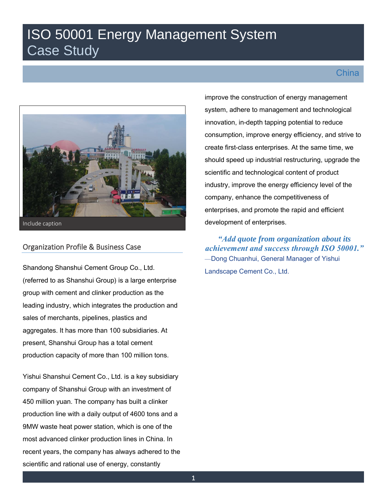# ISO 50001 Energy Management System Case Study

# **China**



Include caption

## Organization Profile & Business Case

Shandong Shanshui Cement Group Co., Ltd. (referred to as Shanshui Group) is a large enterprise group with cement and clinker production as the leading industry, which integrates the production and sales of merchants, pipelines, plastics and aggregates. It has more than 100 subsidiaries. At present, Shanshui Group has a total cement production capacity of more than 100 million tons.

Yishui Shanshui Cement Co., Ltd. is a key subsidiary company of Shanshui Group with an investment of 450 million yuan. The company has built a clinker production line with a daily output of 4600 tons and a 9MW waste heat power station, which is one of the most advanced clinker production lines in China. In recent years, the company has always adhered to the scientific and rational use of energy, constantly

improve the construction of energy management system, adhere to management and technological innovation, in-depth tapping potential to reduce consumption, improve energy efficiency, and strive to create first-class enterprises. At the same time, we should speed up industrial restructuring, upgrade the scientific and technological content of product industry, improve the energy efficiency level of the company, enhance the competitiveness of enterprises, and promote the rapid and efficient development of enterprises.

*"Add quote from organization about its achievement and success through ISO 50001."* —Dong Chuanhui, General Manager of Yishui Landscape Cement Co., Ltd.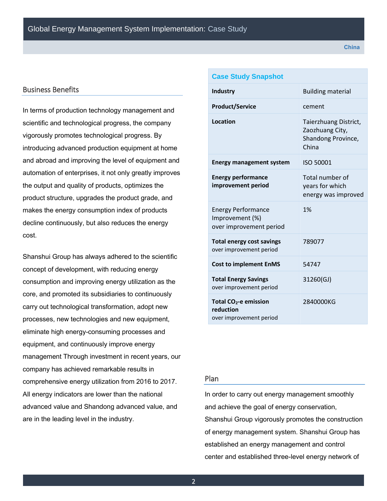#### Business Benefits

In terms of production technology management and scientific and technological progress, the company vigorously promotes technological progress. By introducing advanced production equipment at home and abroad and improving the level of equipment and automation of enterprises, it not only greatly improves the output and quality of products, optimizes the product structure, upgrades the product grade, and makes the energy consumption index of products decline continuously, but also reduces the energy cost.

Shanshui Group has always adhered to the scientific concept of development, with reducing energy consumption and improving energy utilization as the core, and promoted its subsidiaries to continuously carry out technological transformation, adopt new processes, new technologies and new equipment, eliminate high energy-consuming processes and equipment, and continuously improve energy management Through investment in recent years, our company has achieved remarkable results in comprehensive energy utilization from 2016 to 2017. All energy indicators are lower than the national advanced value and Shandong advanced value, and are in the leading level in the industry.

| <b>Case Study Snapshot</b>                                                |                                                                         |  |
|---------------------------------------------------------------------------|-------------------------------------------------------------------------|--|
| <b>Industry</b>                                                           | <b>Building material</b>                                                |  |
| <b>Product/Service</b>                                                    | cement                                                                  |  |
| Location                                                                  | Taierzhuang District,<br>Zaozhuang City,<br>Shandong Province,<br>China |  |
| <b>Energy management system</b>                                           | ISO 50001                                                               |  |
| <b>Energy performance</b><br>improvement period                           | Total number of<br>years for which<br>energy was improved               |  |
| <b>Energy Performance</b><br>Improvement (%)<br>over improvement period   | 1%                                                                      |  |
| <b>Total energy cost savings</b><br>over improvement period               | 789077                                                                  |  |
| <b>Cost to implement EnMS</b>                                             | 54747                                                                   |  |
| <b>Total Energy Savings</b><br>over improvement period                    | 31260(GJ)                                                               |  |
| Total CO <sub>2</sub> -e emission<br>reduction<br>over improvement period | 2840000KG                                                               |  |

#### Plan

In order to carry out energy management smoothly and achieve the goal of energy conservation, Shanshui Group vigorously promotes the construction of energy management system. Shanshui Group has established an energy management and control center and established three-level energy network of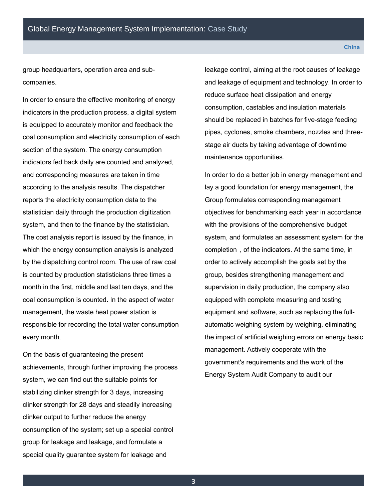group headquarters, operation area and subcompanies.

In order to ensure the effective monitoring of energy indicators in the production process, a digital system is equipped to accurately monitor and feedback the coal consumption and electricity consumption of each section of the system. The energy consumption indicators fed back daily are counted and analyzed, and corresponding measures are taken in time according to the analysis results. The dispatcher reports the electricity consumption data to the statistician daily through the production digitization system, and then to the finance by the statistician. The cost analysis report is issued by the finance, in which the energy consumption analysis is analyzed by the dispatching control room. The use of raw coal is counted by production statisticians three times a month in the first, middle and last ten days, and the coal consumption is counted. In the aspect of water management, the waste heat power station is responsible for recording the total water consumption every month.

On the basis of guaranteeing the present achievements, through further improving the process system, we can find out the suitable points for stabilizing clinker strength for 3 days, increasing clinker strength for 28 days and steadily increasing clinker output to further reduce the energy consumption of the system; set up a special control group for leakage and leakage, and formulate a special quality guarantee system for leakage and

leakage control, aiming at the root causes of leakage and leakage of equipment and technology. In order to reduce surface heat dissipation and energy consumption, castables and insulation materials should be replaced in batches for five-stage feeding pipes, cyclones, smoke chambers, nozzles and threestage air ducts by taking advantage of downtime maintenance opportunities.

In order to do a better job in energy management and lay a good foundation for energy management, the Group formulates corresponding management objectives for benchmarking each year in accordance with the provisions of the comprehensive budget system, and formulates an assessment system for the completion, of the indicators. At the same time, in order to actively accomplish the goals set by the group, besides strengthening management and supervision in daily production, the company also equipped with complete measuring and testing equipment and software, such as replacing the fullautomatic weighing system by weighing, eliminating the impact of artificial weighing errors on energy basic management. Actively cooperate with the government's requirements and the work of the Energy System Audit Company to audit our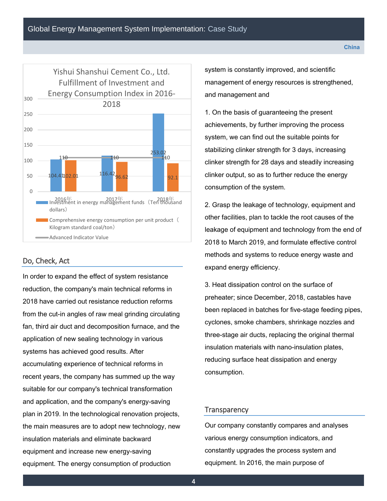

### Do, Check, Act

In order to expand the effect of system resistance reduction, the company's main technical reforms in 2018 have carried out resistance reduction reforms from the cut-in angles of raw meal grinding circulating fan, third air duct and decomposition furnace, and the application of new sealing technology in various systems has achieved good results. After accumulating experience of technical reforms in recent years, the company has summed up the way suitable for our company's technical transformation and application, and the company's energy-saving plan in 2019. In the technological renovation projects, the main measures are to adopt new technology, new insulation materials and eliminate backward equipment and increase new energy-saving equipment. The energy consumption of production

system is constantly improved, and scientific management of energy resources is strengthened, and management and

1. On the basis of guaranteeing the present achievements, by further improving the process system, we can find out the suitable points for stabilizing clinker strength for 3 days, increasing clinker strength for 28 days and steadily increasing clinker output, so as to further reduce the energy consumption of the system.

2. Grasp the leakage of technology, equipment and other facilities, plan to tackle the root causes of the leakage of equipment and technology from the end of 2018 to March 2019, and formulate effective control methods and systems to reduce energy waste and expand energy efficiency.

3. Heat dissipation control on the surface of preheater; since December, 2018, castables have been replaced in batches for five-stage feeding pipes, cyclones, smoke chambers, shrinkage nozzles and three-stage air ducts, replacing the original thermal insulation materials with nano-insulation plates, reducing surface heat dissipation and energy consumption.

#### **Transparency**

Our company constantly compares and analyses various energy consumption indicators, and constantly upgrades the process system and equipment. In 2016, the main purpose of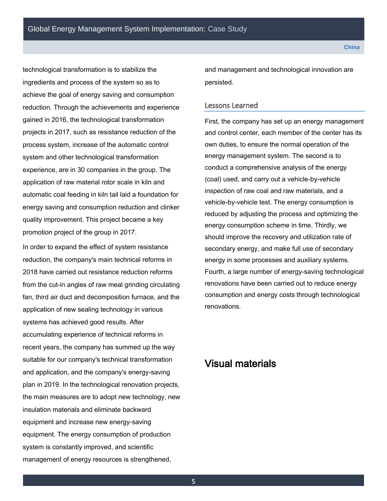technological transformation is to stabilize the ingredients and process of the system so as to achieve the goal of energy saving and consumption reduction. Through the achievements and experience gained in 2016, the technological transformation projects in 2017, such as resistance reduction of the process system, increase of the automatic control system and other technological transformation experience, are in 30 companies in the group. The application of raw material rotor scale in kiln and automatic coal feeding in kiln tail laid a foundation for energy saving and consumption reduction and clinker quality improvement. This project became a key promotion project of the group in 2017.

In order to expand the effect of system resistance reduction, the company's main technical reforms in 2018 have carried out resistance reduction reforms from the cut-in angles of raw meal grinding circulating fan, third air duct and decomposition furnace, and the application of new sealing technology in various systems has achieved good results. After accumulating experience of technical reforms in recent years, the company has summed up the way suitable for our company's technical transformation and application, and the company's energy-saving plan in 2019. In the technological renovation projects, the main measures are to adopt new technology, new insulation materials and eliminate backward equipment and increase new energy-saving equipment. The energy consumption of production system is constantly improved, and scientific management of energy resources is strengthened,

and management and technological innovation are persisted.

#### Lessons Learned

First, the company has set up an energy management and control center, each member of the center has its own duties, to ensure the normal operation of the energy management system. The second is to conduct a comprehensive analysis of the energy (coal) used, and carry out a vehicle-by-vehicle inspection of raw coal and raw materials, and a vehicle-by-vehicle test. The energy consumption is reduced by adjusting the process and optimizing the energy consumption scheme in time. Thirdly, we should improve the recovery and utilization rate of secondary energy, and make full use of secondary energy in some processes and auxiliary systems. Fourth, a large number of energy-saving technological renovations have been carried out to reduce energy consumption and energy costs through technological renovations.

# Visual materials